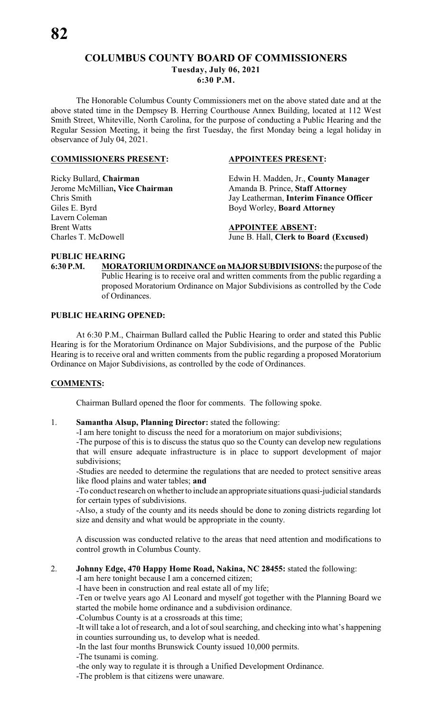# **COLUMBUS COUNTY BOARD OF COMMISSIONERS**

**Tuesday, July 06, 2021**

**6:30 P.M.**

The Honorable Columbus County Commissioners met on the above stated date and at the above stated time in the Dempsey B. Herring Courthouse Annex Building, located at 112 West Smith Street, Whiteville, North Carolina, for the purpose of conducting a Public Hearing and the Regular Session Meeting, it being the first Tuesday, the first Monday being a legal holiday in observance of July 04, 2021.

# **COMMISSIONERS PRESENT: APPOINTEES PRESENT:**

Jerome McMillian, Vice Chairman Lavern Coleman Brent Watts<br>
Charles T. McDowell<br>
Tune B. Hall, Clerk to Boa

Ricky Bullard, **Chairman** Edwin H. Madden, Jr., **County Manager**  Chris Smith Jay Leatherman, **Interim Finance Officer** Boyd Worley, **Board Attorney** 

June B. Hall, **Clerk to Board** (Excused)

# **PUBLIC HEARING**

**6:30 P.M. MORATORIUM ORDINANCE on MAJOR SUBDIVISIONS:** the purpose of the Public Hearing is to receive oral and written comments from the public regarding a proposed Moratorium Ordinance on Major Subdivisions as controlled by the Code of Ordinances.

# **PUBLIC HEARING OPENED:**

At 6:30 P.M., Chairman Bullard called the Public Hearing to order and stated this Public Hearing is for the Moratorium Ordinance on Major Subdivisions, and the purpose of the Public Hearing is to receive oral and written comments from the public regarding a proposed Moratorium Ordinance on Major Subdivisions, as controlled by the code of Ordinances.

# **COMMENTS:**

Chairman Bullard opened the floor for comments. The following spoke.

# 1. **Samantha Alsup, Planning Director:** stated the following:

-I am here tonight to discuss the need for a moratorium on major subdivisions;

-The purpose of this is to discuss the status quo so the County can develop new regulations that will ensure adequate infrastructure is in place to support development of major subdivisions;

-Studies are needed to determine the regulations that are needed to protect sensitive areas like flood plains and water tables; **and**

-To conduct research on whether to include an appropriate situations quasi-judicial standards for certain types of subdivisions.

-Also, a study of the county and its needs should be done to zoning districts regarding lot size and density and what would be appropriate in the county.

A discussion was conducted relative to the areas that need attention and modifications to control growth in Columbus County.

# 2. **Johnny Edge, 470 Happy Home Road, Nakina, NC 28455:** stated the following:

-I am here tonight because I am a concerned citizen;

-I have been in construction and real estate all of my life;

-Ten or twelve years ago Al Leonard and myself got together with the Planning Board we started the mobile home ordinance and a subdivision ordinance.

-Columbus County is at a crossroads at this time;

-It will take a lot of research, and a lot of soul searching, and checking into what's happening in counties surrounding us, to develop what is needed.

-In the last four months Brunswick County issued 10,000 permits.

-The tsunami is coming.

-the only way to regulate it is through a Unified Development Ordinance.

-The problem is that citizens were unaware.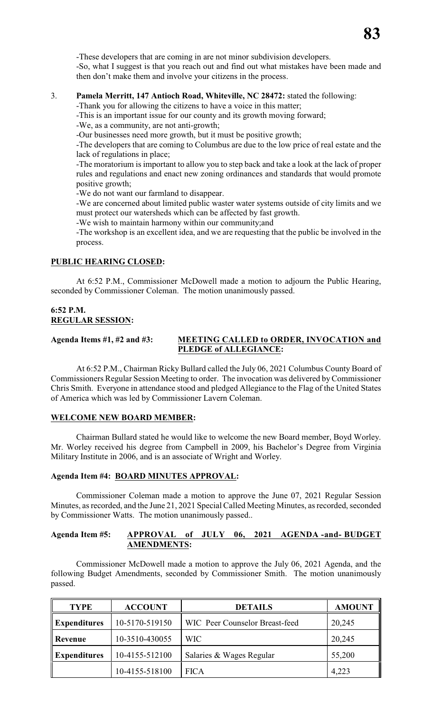-These developers that are coming in are not minor subdivision developers. -So, what I suggest is that you reach out and find out what mistakes have been made and then don't make them and involve your citizens in the process.

# 3. **Pamela Merritt, 147 Antioch Road, Whiteville, NC 28472:** stated the following:

-Thank you for allowing the citizens to have a voice in this matter;

-This is an important issue for our county and its growth moving forward;

-We, as a community, are not anti-growth;

-Our businesses need more growth, but it must be positive growth;

-The developers that are coming to Columbus are due to the low price of real estate and the lack of regulations in place;

-The moratorium is important to allow you to step back and take a look at the lack of proper rules and regulations and enact new zoning ordinances and standards that would promote positive growth;

-We do not want our farmland to disappear.

-We are concerned about limited public waster water systems outside of city limits and we must protect our watersheds which can be affected by fast growth.

-We wish to maintain harmony within our community;and

-The workshop is an excellent idea, and we are requesting that the public be involved in the process.

# **PUBLIC HEARING CLOSED:**

At 6:52 P.M., Commissioner McDowell made a motion to adjourn the Public Hearing, seconded by Commissioner Coleman. The motion unanimously passed.

# **6:52 P.M. REGULAR SESSION:**

# **Agenda Items #1, #2 and #3: MEETING CALLED to ORDER, INVOCATION and PLEDGE of ALLEGIANCE:**

At 6:52 P.M., Chairman Ricky Bullard called the July 06, 2021 Columbus County Board of Commissioners Regular Session Meeting to order. The invocation was delivered by Commissioner Chris Smith. Everyone in attendance stood and pledged Allegiance to the Flag of the United States of America which was led by Commissioner Lavern Coleman.

# **WELCOME NEW BOARD MEMBER:**

Chairman Bullard stated he would like to welcome the new Board member, Boyd Worley. Mr. Worley received his degree from Campbell in 2009, his Bachelor's Degree from Virginia Military Institute in 2006, and is an associate of Wright and Worley.

# **Agenda Item #4: BOARD MINUTES APPROVAL:**

Commissioner Coleman made a motion to approve the June 07, 2021 Regular Session Minutes, as recorded, and the June 21, 2021 Special Called Meeting Minutes, as recorded, seconded by Commissioner Watts. The motion unanimously passed..

# **Agenda Item #5: APPROVAL of JULY 06, 2021 AGENDA -and- BUDGET AMENDMENTS:**

Commissioner McDowell made a motion to approve the July 06, 2021 Agenda, and the following Budget Amendments, seconded by Commissioner Smith. The motion unanimously passed.

| <b>TYPE</b>                           | <b>ACCOUNT</b> | <b>DETAILS</b>                 | <b>AMOUNT</b> |
|---------------------------------------|----------------|--------------------------------|---------------|
| <b>Expenditures</b>                   | 10-5170-519150 | WIC Peer Counselor Breast-feed | 20,245        |
| Revenue                               | 10-3510-430055 | <b>WIC</b>                     | 20,245        |
| <b>Expenditures</b><br>10-4155-512100 |                | Salaries & Wages Regular       | 55,200        |
|                                       | 10-4155-518100 | <b>FICA</b>                    | 4,223         |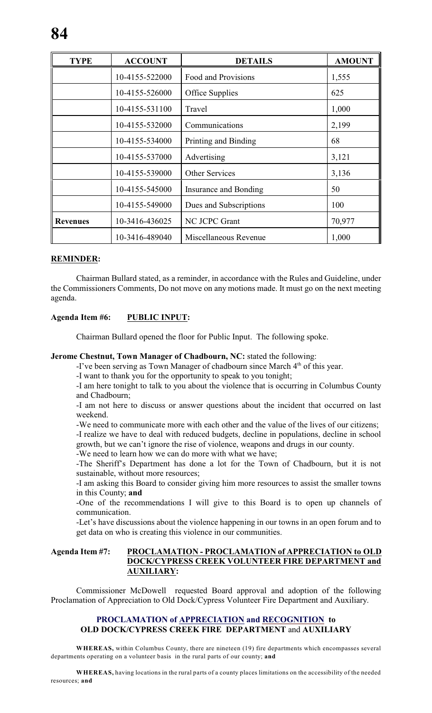| <b>TYPE</b>     | <b>ACCOUNT</b> | <b>DETAILS</b>         | <b>AMOUNT</b> |
|-----------------|----------------|------------------------|---------------|
|                 | 10-4155-522000 | Food and Provisions    | 1,555         |
|                 | 10-4155-526000 | Office Supplies        | 625           |
|                 | 10-4155-531100 | Travel                 | 1,000         |
|                 | 10-4155-532000 | Communications         | 2,199         |
|                 | 10-4155-534000 | Printing and Binding   | 68            |
|                 | 10-4155-537000 | Advertising            | 3,121         |
|                 | 10-4155-539000 | <b>Other Services</b>  | 3,136         |
|                 | 10-4155-545000 | Insurance and Bonding  | 50            |
|                 | 10-4155-549000 | Dues and Subscriptions | 100           |
| <b>Revenues</b> | 10-3416-436025 | NC JCPC Grant          | 70,977        |
|                 | 10-3416-489040 | Miscellaneous Revenue  | 1,000         |

# **REMINDER:**

Chairman Bullard stated, as a reminder, in accordance with the Rules and Guideline, under the Commissioners Comments, Do not move on any motions made. It must go on the next meeting agenda.

# **Agenda Item #6: PUBLIC INPUT:**

Chairman Bullard opened the floor for Public Input. The following spoke.

# **Jerome Chestnut, Town Manager of Chadbourn, NC:** stated the following:

-I've been serving as Town Manager of chadbourn since March 4<sup>th</sup> of this year.

-I want to thank you for the opportunity to speak to you tonight;

-I am here tonight to talk to you about the violence that is occurring in Columbus County and Chadbourn;

-I am not here to discuss or answer questions about the incident that occurred on last weekend.

-We need to communicate more with each other and the value of the lives of our citizens;

-I realize we have to deal with reduced budgets, decline in populations, decline in school growth, but we can't ignore the rise of violence, weapons and drugs in our county.

-We need to learn how we can do more with what we have;

-The Sheriff's Department has done a lot for the Town of Chadbourn, but it is not sustainable, without more resources;

-I am asking this Board to consider giving him more resources to assist the smaller towns in this County; **and**

-One of the recommendations I will give to this Board is to open up channels of communication.

-Let's have discussions about the violence happening in our towns in an open forum and to get data on who is creating this violence in our communities.

# **Agenda Item #7: PROCLAMATION - PROCLAMATION of APPRECIATION to OLD DOCK/CYPRESS CREEK VOLUNTEER FIRE DEPARTMENT and AUXILIARY:**

Commissioner McDowell requested Board approval and adoption of the following Proclamation of Appreciation to Old Dock/Cypress Volunteer Fire Department and Auxiliary.

# **PROCLAMATION of APPRECIATION and RECOGNITION to OLD DOCK/CYPRESS CREEK FIRE DEPARTMENT** and **AUXILIARY**

**WHEREAS,** within Columbus County, there are nineteen (19) fire departments which encompasses several departments operating on a volunteer basis in the rural parts of our county; **and**

**WHEREAS,** having locations in the rural parts of a county places limitations on the accessibility of the needed resources; **and**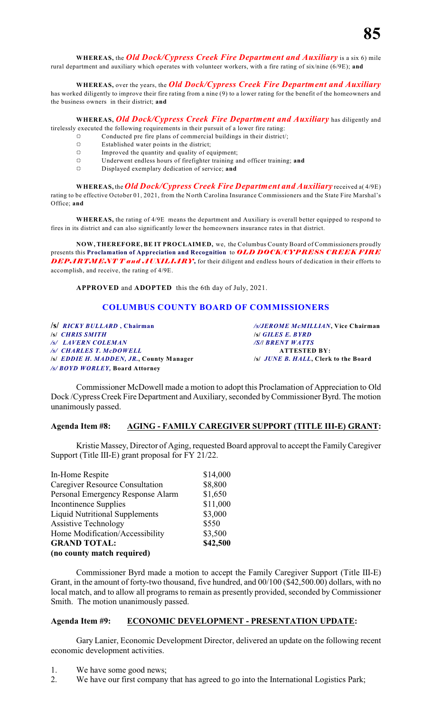**WHEREAS,** the *Old Dock/Cypress Creek Fire Department and Auxiliary* is a six 6) mile rural department and auxiliary which operates with volunteer workers, with a fire rating of six/nine (6/9E); **and**

**WHEREAS,** over the years, the *Old Dock/Cypress Creek Fire Department and Auxiliary*

has worked diligently to improve their fire rating from a nine (9) to a lower rating for the benefit of the homeowners and the business owners in their district; **and**

**WHEREAS,** *Old Dock/Cypress Creek Fire Department and Auxiliary* has diligently and tirelessly executed the following requirements in their pursuit of a lower fire rating:

- $\ddot{\varphi}$  Conducted pre fire plans of commercial buildings in their district/;
- $\ddot{\mathbb{R}}$  Established water points in the district;
- $\ddot{\varphi}$  Improved the quantity and quality of equipment;
- ® Underwent endless hours of firefighter training and officer training; **and**
- $\ddot{\varphi}$  Displayed exemplary dedication of service; and

**WHEREAS,** the *Old Dock/Cypress Creek Fire Department and Auxiliary* received a( 4/9E) rating to be effective October 01, 2021, from the North Carolina Insurance Commissioners and the State Fire Marshal's Office; **and**

**WHEREAS,** the rating of 4/9E means the department and Auxiliary is overall better equipped to respond to fires in its district and can also significantly lower the homeowners insurance rates in that district.

**NOW, THEREFORE, BE IT PROCLAIMED,** we, the Columbus County Board of Commissioners proudly presents this **Proclamation of Appreciation and Recognition** to *OLD DOCK/CYPRESS CREEK FIRE* **DEPARTMENT T and AUXILIARY**, for their diligent and endless hours of dedication in their efforts to accomplish, and receive, the rating of 4/9E.

**APPROVED** and **ADOPTED** this the 6th day of July, 2021.

# **COLUMBUS COUNTY BOARD OF COMMISSIONERS**

**/s/** *RICKY BULLARD* **, Chairman** */s/JEROME McMILLIAN***, Vice Chairman /s/** *CHRIS SMITH* **/s/** *GILES E. BYRD /s/ LAVERN COLEMAN /S/***/** *BRENT WATTS /s/ CHARLES T. McDOWELL* **ATTESTED BY:** *ls/ EDDIE H. MADDEN, JR., County Manager /s/ BOYD WORLEY,* **Board Attorney**

Commissioner McDowell made a motion to adopt this Proclamation of Appreciation to Old Dock /Cypress Creek Fire Department and Auxiliary, seconded byCommissioner Byrd. The motion unanimously passed.

# **Agenda Item #8: AGING - FAMILY CAREGIVER SUPPORT (TITLE III-E) GRANT:**

Kristie Massey, Director of Aging, requested Board approval to accept the Family Caregiver Support (Title III-E) grant proposal for FY 21/22.

| In-Home Respite                       | \$14,000 |
|---------------------------------------|----------|
| Caregiver Resource Consultation       | \$8,800  |
| Personal Emergency Response Alarm     | \$1,650  |
| <b>Incontinence Supplies</b>          | \$11,000 |
| <b>Liquid Nutritional Supplements</b> | \$3,000  |
| <b>Assistive Technology</b>           | \$550    |
| Home Modification/Accessibility       | \$3,500  |
| <b>GRAND TOTAL:</b>                   | \$42,500 |
| (no county match required)            |          |

Commissioner Byrd made a motion to accept the Family Caregiver Support (Title III-E) Grant, in the amount of forty-two thousand, five hundred, and 00/100 (\$42,500.00) dollars, with no local match, and to allow all programs to remain as presently provided, seconded by Commissioner Smith. The motion unanimously passed.

# **Agenda Item #9: ECONOMIC DEVELOPMENT - PRESENTATION UPDATE:**

Gary Lanier, Economic Development Director, delivered an update on the following recent economic development activities.

- 1. We have some good news;
- 2. We have our first company that has agreed to go into the International Logistics Park;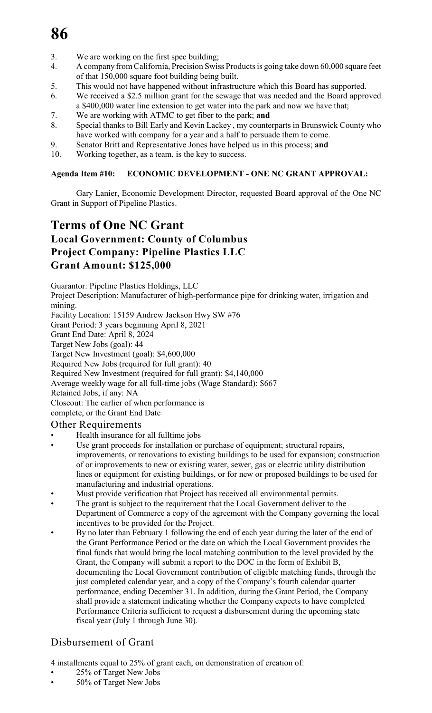- 3. We are working on the first spec building;
- 4. A company from California, Precision Swiss Products is going take down 60,000 square feet of that 150,000 square foot building being built.
- 5. This would not have happened without infrastructure which this Board has supported.
- 6. We received a \$2.5 million grant for the sewage that was needed and the Board approved a \$400,000 water line extension to get water into the park and now we have that;
- 7. We are working with ATMC to get fiber to the park; **and**
- 8. Special thanks to Bill Early and Kevin Lackey , my counterparts in Brunswick County who have worked with company for a year and a half to persuade them to come.
- 9. Senator Britt and Representative Jones have helped us in this process; **and**
- 10. Working together, as a team, is the key to success.

# **Agenda Item #10: ECONOMIC DEVELOPMENT - ONE NC GRANT APPROVAL:**

Gary Lanier, Economic Development Director, requested Board approval of the One NC Grant in Support of Pipeline Plastics.

# **Terms of One NC Grant Local Government: County of Columbus Project Company: Pipeline Plastics LLC Grant Amount: \$125,000**

Guarantor: Pipeline Plastics Holdings, LLC

Project Description: Manufacturer of high-performance pipe for drinking water, irrigation and mining.

Facility Location: 15159 Andrew Jackson Hwy SW #76

Grant Period: 3 years beginning April 8, 2021

Grant End Date: April 8, 2024

Target New Jobs (goal): 44

Target New Investment (goal): \$4,600,000

Required New Jobs (required for full grant): 40

Required New Investment (required for full grant): \$4,140,000

Average weekly wage for all full-time jobs (Wage Standard): \$667

Retained Jobs, if any: NA

Closeout: The earlier of when performance is

complete, or the Grant End Date

# Other Requirements

- Health insurance for all fulltime jobs
- Use grant proceeds for installation or purchase of equipment; structural repairs, improvements, or renovations to existing buildings to be used for expansion; construction of or improvements to new or existing water, sewer, gas or electric utility distribution lines or equipment for existing buildings, or for new or proposed buildings to be used for manufacturing and industrial operations.
- Must provide verification that Project has received all environmental permits.
- The grant is subject to the requirement that the Local Government deliver to the Department of Commerce a copy of the agreement with the Company governing the local incentives to be provided for the Project.
- By no later than February 1 following the end of each year during the later of the end of the Grant Performance Period or the date on which the Local Government provides the final funds that would bring the local matching contribution to the level provided by the Grant, the Company will submit a report to the DOC in the form of Exhibit B, documenting the Local Government contribution of eligible matching funds, through the just completed calendar year, and a copy of the Company's fourth calendar quarter performance, ending December 31. In addition, during the Grant Period, the Company shall provide a statement indicating whether the Company expects to have completed Performance Criteria sufficient to request a disbursement during the upcoming state fiscal year (July 1 through June 30).

# Disbursement of Grant

4 installments equal to 25% of grant each, on demonstration of creation of:

- 25% of Target New Jobs
- 50% of Target New Jobs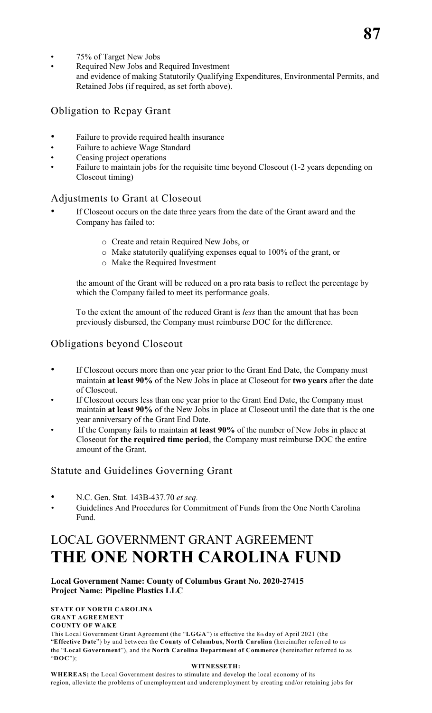- 75% of Target New Jobs
- Required New Jobs and Required Investment and evidence of making Statutorily Qualifying Expenditures, Environmental Permits, and Retained Jobs (if required, as set forth above).

# Obligation to Repay Grant

- Failure to provide required health insurance
- Failure to achieve Wage Standard
- Ceasing project operations
- Failure to maintain jobs for the requisite time beyond Closeout (1-2 years depending on Closeout timing)

# Adjustments to Grant at Closeout

- If Closeout occurs on the date three years from the date of the Grant award and the Company has failed to:
	- o Create and retain Required New Jobs, or
	- o Make statutorily qualifying expenses equal to 100% of the grant, or
	- o Make the Required Investment

the amount of the Grant will be reduced on a pro rata basis to reflect the percentage by which the Company failed to meet its performance goals.

To the extent the amount of the reduced Grant is *less* than the amount that has been previously disbursed, the Company must reimburse DOC for the difference.

# Obligations beyond Closeout

- If Closeout occurs more than one year prior to the Grant End Date, the Company must maintain **at least 90%** of the New Jobs in place at Closeout for **two years** after the date of Closeout.
- If Closeout occurs less than one year prior to the Grant End Date, the Company must maintain **at least 90%** of the New Jobs in place at Closeout until the date that is the one year anniversary of the Grant End Date.
- If the Company fails to maintain **at least 90%** of the number of New Jobs in place at Closeout for **the required time period**, the Company must reimburse DOC the entire amount of the Grant.

# Statute and Guidelines Governing Grant

- N.C. Gen. Stat. 143B-437.70 *et seq.*
- *•* Guidelines And Procedures for Commitment of Funds from the One North Carolina Fund.

# LOCAL GOVERNMENT GRANT AGREEMENT **THE ONE NORTH CAROLINA FUND**

# **Local Government Name: County of Columbus Grant No. 2020-27415 Project Name: Pipeline Plastics LLC**

## **STATE OF NORTH CAROLINA GRANT AGREEMENT COUNTY OF WAKE**

This Local Government Grant Agreement (the "**LGGA**") is effective the 8th day of April 2021 (the "**Effective Date**") by and between the **County of Columbus, North Carolina** (hereinafter referred to as the "**Local Government**"), and the **North Carolina Department of Commerce** (hereinafter referred to as "**DOC**");

## **WITNESSETH:**

**WHEREAS;** the Local Government desires to stimulate and develop the local economy of its region, alleviate the problems of unemployment and underemployment by creating and/or retaining jobs for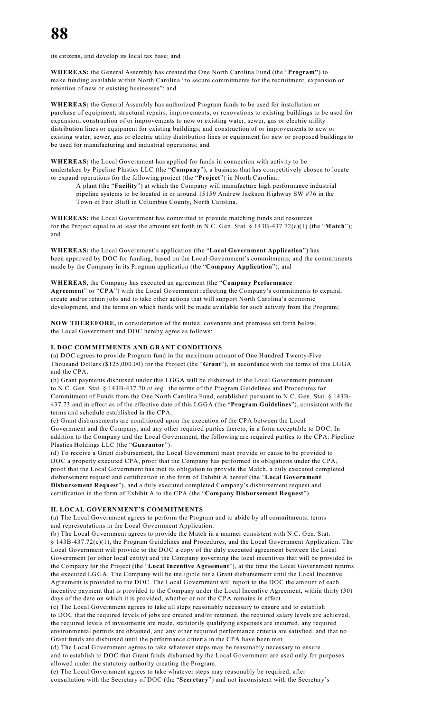its citizens, and develop its local tax base; and

**WHEREAS;** the General Assembly has created the One North Carolina Fund (the "**Program"**) to make funding available within North Carolina "to secure commitments for the recruitment, expansion or retention of new or existing businesses"; and

**WHEREAS;** the General Assembly has authorized Program funds to be used for installation or purchase of equipment; structural repairs, improvements, or renovations to existing buildings to be used for expansion; construction of or improvements to new or existing water, sewer, gas or electric utility distribution lines or equipment for existing buildings; and construction of or improvements to new or existing water, sewer, gas or electric utility distribution lines or equipment for new or proposed buildings to be used for manufacturing and industrial operations; and

**WHEREAS;** the Local Government has applied for funds in connection with activity to be undertaken by Pipeline Plastics LLC (the "**Company**"), a business that has competitively chosen to locate or expand operations for the following project (the "**Project**") in North Carolina:

A plant (the "**Facility**") at which the Company will manufacture high performance industrial pipeline systems to be located in or around 15159 Andrew Jackson Highway SW #76 in the Town of Fair Bluff in Columbus County, North Carolina.

**WHEREAS;** the Local Government has committed to provide matching funds and resources for the Project equal to at least the amount set forth in N.C. Gen. Stat. § 143B-437.72(c)(1) (the "**Match**"); and

**WHEREAS;** the Local Government's application (the "**Local Government Application**") has been approved by DOC for funding, based on the Local Government's commitments, and the commitments made by the Company in its Program application (the "**Company Application**"); and

## **WHEREAS**, the Company has executed an agreement (the "**Company Performance**

**Agreement**" or "**CPA**") with the Local Government reflecting the Company's commitments to expand, create and/or retain jobs and to take other actions that will support North Carolina's economic development, and the terms on which funds will be made available for such activity from the Program;

**NOW THEREFORE,** in consideration of the mutual covenants and promises set forth below, the Local Government and DOC hereby agree as follows:

## **I. DOC COMMITMENTS AND GRANT CONDITIONS**

(a) DOC agrees to provide Program fund in the maximum amount of One Hundred Twenty-Five Thousand Dollars (\$125,000.00) for the Project (the "**Grant**"), in accordance with the terms of this LGGA and the CPA.

(b) Grant payments disbursed under this LGGA will be disbursed to the Local Government pursuant to N.C. Gen. Stat. § 143B-437.70 *et seq.,* the terms of the Program Guidelines and Procedures for Commitment of Funds from the One North Carolina Fund, established pursuant to N.C. Gen. Stat. § 143B-437.73 and in effect as of the effective date of this LGGA (the "**Program Guidelines**"), consistent with the terms and schedule established in the CPA.

(c) Grant disbursements are conditioned upon the execution of the CPA between the Local Government and the Company, and any other required parties thereto, in a form acceptable to DOC. In addition to the Company and the Local Government, the following are required parties to the CPA: Pipeline Plastics Holdings LLC (the "**Guarantor**").

(d) To receive a Grant disbursement, the Local Government must provide or cause to be provided to DOC a properly executed CPA, proof that the Company has performed its obligations under the CPA, proof that the Local Government has met its obligation to provide the Match, a duly executed completed disbursement request and certification in the form of Exhibit A hereof (the "**Local Government Disbursement Request**"), and a duly executed completed Company's disbursement request and certification in the form of Exhibit A to the CPA (the "**Company Disbursement Request**").

## **II. LOCAL GOVERNMENT'S COMMITMENTS**

(a) The Local Government agrees to perform the Program and to abide by all commitments, terms and representations in the Local Government Application.

(b) The Local Government agrees to provide the Match in a manner consistent with N.C. Gen. Stat. § 143B-437.72(c)(1), the Program Guidelines and Procedures, and the Local Government Application. The Local Government will provide to the DOC a copy of the duly executed agreement between the Local Government (or other local entity) and the Company governing the local incentives that will be provided to the Company for the Project (the "**Local Incentive Agreement**"), at the time the Local Government returns the executed LGGA. The Company will be ineligible for a Grant disbursement until the Local Incentive Agreement is provided to the DOC. The Local Government will report to the DOC the amount of each incentive payment that is provided to the Company under the Local Incentive Agreement, within thirty (30) days of the date on which it is provided, whether or not the CPA remains in effect.

(c) The Local Government agrees to take all steps reasonably necessary to ensure and to establish to DOC that the required levels of jobs are created and/or retained, the required salary levels are achieved, the required levels of investments are made, statutorily qualifying expenses are incurred, any required environmental permits are obtained, and any other required performance criteria are satisfied, and that no Grant funds are disbursed until the performance criteria in the CPA have been met.

(d) The Local Government agrees to take whatever steps may be reasonably necessary to ensure and to establish to DOC that Grant funds disbursed by the Local Government are used only for purposes allowed under the statutory authority creating the Program.

(e) The Local Government agrees to take whatever steps may reasonably be required, after consultation with the Secretary of DOC (the "**Secretary**") and not inconsistent with the Secretary's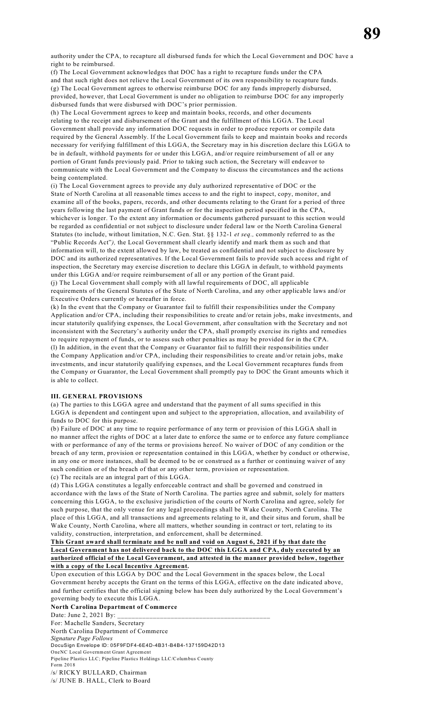authority under the CPA, to recapture all disbursed funds for which the Local Government and DOC have a right to be reimbursed.

(f) The Local Government acknowledges that DOC has a right to recapture funds under the CPA and that such right does not relieve the Local Government of its own responsibility to recapture funds. (g) The Local Government agrees to otherwise reimburse DOC for any funds improperly disbursed, provided, however, that Local Government is under no obligation to reimburse DOC for any improperly disbursed funds that were disbursed with DOC's prior permission.

(h) The Local Government agrees to keep and maintain books, records, and other documents relating to the receipt and disbursement of the Grant and the fulfillment of this LGGA. The Local Government shall provide any information DOC requests in order to produce reports or compile data required by the General Assembly. If the Local Government fails to keep and maintain books and records necessary for verifying fulfillment of this LGGA, the Secretary may in his discretion declare this LGGA to be in default, withhold payments for or under this LGGA, and/or require reimbursement of all or any portion of Grant funds previously paid. Prior to taking such action, the Secretary will endeavor to communicate with the Local Government and the Company to discuss the circumstances and the actions being contemplated.

(i) The Local Government agrees to provide any duly authorized representative of DOC or the State of North Carolina at all reasonable times access to and the right to inspect, copy, monitor, and examine all of the books, papers, records, and other documents relating to the Grant for a period of three years following the last payment of Grant funds or for the inspection period specified in the CPA, whichever is longer. To the extent any information or documents gathered pursuant to this section would be regarded as confidential or not subject to disclosure under federal law or the North Carolina General Statutes (to include, without limitation, N.C. Gen. Stat. §§ 132-1 *et seq.,* commonly referred to as the "Public Records Act"*),* the Local Government shall clearly identify and mark them as such and that information will, to the extent allowed by law, be treated as confidential and not subject to disclosure by DOC and its authorized representatives. If the Local Government fails to provide such access and right of inspection, the Secretary may exercise discretion to declare this LGGA in default, to withhold payments under this LGGA and/or require reimbursement of all or any portion of the Grant paid. (j) The Local Government shall comply with all lawful requirements of DOC, all applicable

requirements of the General Statutes of the State of North Carolina, and any other applicable laws and/or Executive Orders currently or hereafter in force.

(k) In the event that the Company or Guarantor fail to fulfill their responsibilities under the Company Application and/or CPA, including their responsibilities to create and/or retain jobs, make investments, and incur statutorily qualifying expenses, the Local Government, after consultation with the Secretary and not inconsistent with the Secretary's authority under the CPA, shall promptly exercise its rights and remedies to require repayment of funds, or to assess such other penalties as may be provided for in the CPA. (l) In addition, in the event that the Company or Guarantor fail to fulfill their responsibilities under the Company Application and/or CPA, including their responsibilities to create and/or retain jobs, make investments, and incur statutorily qualifying expenses, and the Local Government recaptures funds from the Company or Guarantor, the Local Government shall promptly pay to DOC the Grant amounts which it is able to collect.

### **III. GENERAL PROVISIONS**

(a) The parties to this LGGA agree and understand that the payment of all sums specified in this LGGA is dependent and contingent upon and subject to the appropriation, allocation, and availability of funds to DOC for this purpose.

(b) Failure of DOC at any time to require performance of any term or provision of this LGGA shall in no manner affect the rights of DOC at a later date to enforce the same or to enforce any future compliance with or performance of any of the terms or provisions hereof. No waiver of DOC of any condition or the breach of any term, provision or representation contained in this LGGA, whether by conduct or otherwise, in any one or more instances, shall be deemed to be or construed as a further or continuing waiver of any such condition or of the breach of that or any other term, provision or representation.

(c) The recitals are an integral part of this LGGA.

(d) This LGGA constitutes a legally enforceable contract and shall be governed and construed in accordance with the laws of the State of North Carolina. The parties agree and submit, solely for matters concerning this LGGA, to the exclusive jurisdiction of the courts of North Carolina and agree, solely for such purpose, that the only venue for any legal proceedings shall be Wake County, North Carolina. The place of this LGGA, and all transactions and agreements relating to it, and their situs and forum, shall be Wake County, North Carolina, where all matters, whether sounding in contract or tort, relating to its validity, construction, interpretation, and enforcement, shall be determined.

## **This Grant award shall terminate and be null and void on August 6, 2021 if by that date the Local Government has not delivered back to the DOC this LGGA and CPA, duly executed by an authorized official of the Local Government, and attested in the manner provided below, together with a copy of the Local Incentive Agreement.**

Upon execution of this LGGA by DOC and the Local Government in the spaces below, the Local Government hereby accepts the Grant on the terms of this LGGA, effective on the date indicated above, and further certifies that the official signing below has been duly authorized by the Local Government's governing body to execute this LGGA.

**North Carolina Department of Commerce**

Date: June 2, 2021 By:

For: Machelle Sanders, Secretary North Carolina Department of Commerce *Signature Page Follows* DocuSign Envelope ID: 05F9FDF4-6E4D-4B31-B4B4-137159D42D13 OneNC Local Government Grant Agreement Pipeline Plastics LLC; Pipeline Plastics Holdings LLC/Columbus County Form 2018 /s/ RICKY BULLARD, Chairman /s/ JUNE B. HALL, Clerk to Board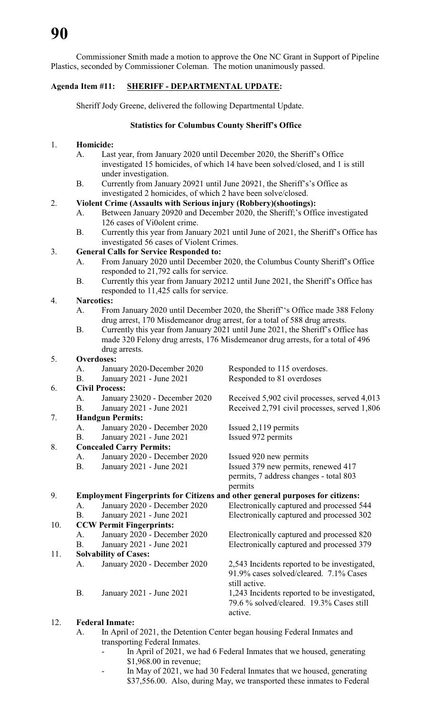Commissioner Smith made a motion to approve the One NC Grant in Support of Pipeline Plastics, seconded by Commissioner Coleman. The motion unanimously passed.

# **Agenda Item #11: SHERIFF - DEPARTMENTAL UPDATE:**

Sheriff Jody Greene, delivered the following Departmental Update.

# **Statistics for Columbus County Sheriff's Office**

# 1. **Homicide:**

- A. Last year, from January 2020 until December 2020, the Sheriff's Office investigated 15 homicides, of which 14 have been solved/closed, and 1 is still under investigation.
- B. Currently from January 20921 until June 20921, the Sheriff's's Office as investigated 2 homicides, of which 2 have been solve/closed.

# 2. **Violent Crime (Assaults with Serious injury (Robbery)(shootings):**

- A. Between January 20920 and December 2020, the Sheriff;'s Office investigated 126 cases of Vi0olent crime.
- B. Currently this year from January 2021 until June of 2021, the Sheriff's Office has investigated 56 cases of Violent Crimes.

# 3. **General Calls for Service Responded to:**

- A. From January 2020 until December 2020, the Columbus County Sheriff's Office responded to 21,792 calls for service.
- B. Currently this year from January 20212 until June 2021, the Sheriff's Office has responded to 11,425 calls for service.

# 4. **Narcotics:**

- A. From January 2020 until December 2020, the Sheriff''s Office made 388 Felony drug arrest, 170 Misdemeanor drug arrest, for a total of 588 drug arrests.
- B. Currently this year from January 2021 until June 2021, the Sheriff's Office has made 320 Felony drug arrests, 176 Misdemeanor drug arrests, for a total of 496 drug arrests.

# 5. **Overdoses:**

|     | А.        | January 2020-December 2020      | Responded to 115 overdoses.                                                          |  |  |
|-----|-----------|---------------------------------|--------------------------------------------------------------------------------------|--|--|
|     | B.        | January 2021 - June 2021        | Responded to 81 overdoses                                                            |  |  |
| 6.  |           | <b>Civil Process:</b>           |                                                                                      |  |  |
|     | A.        | January 23020 - December 2020   | Received 5,902 civil processes, served 4,013                                         |  |  |
|     | Β.        | January 2021 - June 2021        | Received 2,791 civil processes, served 1,806                                         |  |  |
| 7.  |           | <b>Handgun Permits:</b>         |                                                                                      |  |  |
|     | A.        | January 2020 - December 2020    | Issued 2,119 permits                                                                 |  |  |
|     | <b>B.</b> | January 2021 - June 2021        | Issued 972 permits                                                                   |  |  |
| 8.  |           | <b>Concealed Carry Permits:</b> |                                                                                      |  |  |
|     | А.        | January 2020 - December 2020    | Issued 920 new permits                                                               |  |  |
|     | <b>B.</b> | January 2021 - June 2021        | Issued 379 new permits, renewed 417                                                  |  |  |
|     |           |                                 | permits, 7 address changes - total 803                                               |  |  |
|     |           |                                 | permits                                                                              |  |  |
| 9.  |           |                                 | <b>Employment Fingerprints for Citizens and other general purposes for citizens:</b> |  |  |
|     | A.        | January 2020 - December 2020    | Electronically captured and processed 544                                            |  |  |
|     | Β.        | January 2021 - June 2021        | Electronically captured and processed 302                                            |  |  |
| 10. |           | <b>CCW Permit Fingerprints:</b> |                                                                                      |  |  |
|     | A.        | January 2020 - December 2020    | Electronically captured and processed 820                                            |  |  |
|     | <b>B.</b> | January 2021 - June 2021        | Electronically captured and processed 379                                            |  |  |
| 11. |           | <b>Solvability of Cases:</b>    |                                                                                      |  |  |
|     | A.        | January 2020 - December 2020    | 2,543 Incidents reported to be investigated,                                         |  |  |
|     |           |                                 | 91.9% cases solved/cleared. 7.1% Cases                                               |  |  |
|     |           |                                 | still active.                                                                        |  |  |
|     | Β.        | January 2021 - June 2021        | 1,243 Incidents reported to be investigated,                                         |  |  |
|     |           |                                 | 79.6 % solved/cleared. 19.3% Cases still                                             |  |  |
|     |           |                                 | active.                                                                              |  |  |
|     |           |                                 |                                                                                      |  |  |

# 12. **Federal Inmate:**

- A. In April of 2021, the Detention Center began housing Federal Inmates and transporting Federal Inmates.
	- In April of 2021, we had 6 Federal Inmates that we housed, generating \$1,968.00 in revenue;
	- In May of 2021, we had 30 Federal Inmates that we housed, generating \$37,556.00. Also, during May, we transported these inmates to Federal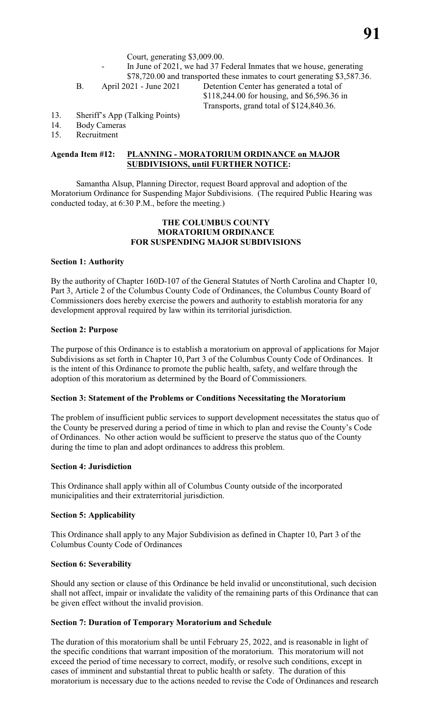- In June of 2021, we had 37 Federal Inmates that we house, generating \$78,720.00 and transported these inmates to court generating \$3,587.36.
- 

B. April 2021 - June 2021 Detention Center has generated a total of \$118,244.00 for housing, and \$6,596.36 in Transports, grand total of \$124,840.36.

- 13. Sheriff's App (Talking Points)
- 14. Body Cameras
- 15. Recruitment

# **Agenda Item #12: PLANNING - MORATORIUM ORDINANCE on MAJOR SUBDIVISIONS, until FURTHER NOTICE:**

Samantha Alsup, Planning Director, request Board approval and adoption of the Moratorium Ordinance for Suspending Major Subdivisions. (The required Public Hearing was conducted today, at 6:30 P.M., before the meeting.)

# **THE COLUMBUS COUNTY MORATORIUM ORDINANCE FOR SUSPENDING MAJOR SUBDIVISIONS**

# **Section 1: Authority**

By the authority of Chapter 160D-107 of the General Statutes of North Carolina and Chapter 10, Part 3, Article 2 of the Columbus County Code of Ordinances, the Columbus County Board of Commissioners does hereby exercise the powers and authority to establish moratoria for any development approval required by law within its territorial jurisdiction.

# **Section 2: Purpose**

The purpose of this Ordinance is to establish a moratorium on approval of applications for Major Subdivisions as set forth in Chapter 10, Part 3 of the Columbus County Code of Ordinances. It is the intent of this Ordinance to promote the public health, safety, and welfare through the adoption of this moratorium as determined by the Board of Commissioners.

# **Section 3: Statement of the Problems or Conditions Necessitating the Moratorium**

The problem of insufficient public services to support development necessitates the status quo of the County be preserved during a period of time in which to plan and revise the County's Code of Ordinances. No other action would be sufficient to preserve the status quo of the County during the time to plan and adopt ordinances to address this problem.

# **Section 4: Jurisdiction**

This Ordinance shall apply within all of Columbus County outside of the incorporated municipalities and their extraterritorial jurisdiction.

# **Section 5: Applicability**

This Ordinance shall apply to any Major Subdivision as defined in Chapter 10, Part 3 of the Columbus County Code of Ordinances

# **Section 6: Severability**

Should any section or clause of this Ordinance be held invalid or unconstitutional, such decision shall not affect, impair or invalidate the validity of the remaining parts of this Ordinance that can be given effect without the invalid provision.

# **Section 7: Duration of Temporary Moratorium and Schedule**

The duration of this moratorium shall be until February 25, 2022, and is reasonable in light of the specific conditions that warrant imposition of the moratorium. This moratorium will not exceed the period of time necessary to correct, modify, or resolve such conditions, except in cases of imminent and substantial threat to public health or safety. The duration of this moratorium is necessary due to the actions needed to revise the Code of Ordinances and research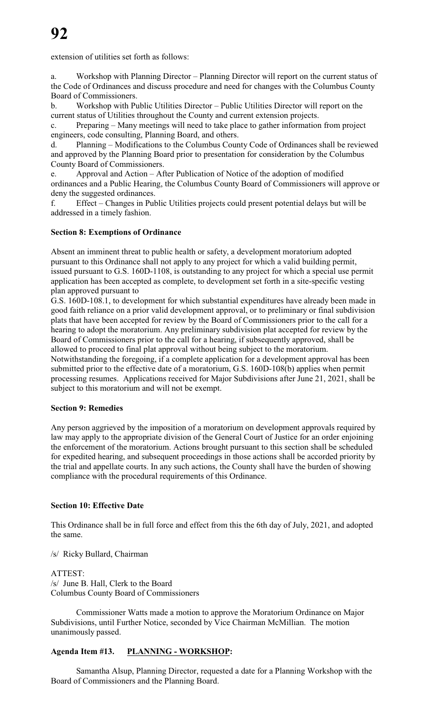extension of utilities set forth as follows:

a. Workshop with Planning Director – Planning Director will report on the current status of the Code of Ordinances and discuss procedure and need for changes with the Columbus County Board of Commissioners.

b. Workshop with Public Utilities Director – Public Utilities Director will report on the current status of Utilities throughout the County and current extension projects.

c. Preparing – Many meetings will need to take place to gather information from project engineers, code consulting, Planning Board, and others.

d. Planning – Modifications to the Columbus County Code of Ordinances shall be reviewed and approved by the Planning Board prior to presentation for consideration by the Columbus County Board of Commissioners.

e. Approval and Action – After Publication of Notice of the adoption of modified ordinances and a Public Hearing, the Columbus County Board of Commissioners will approve or deny the suggested ordinances.

f. Effect – Changes in Public Utilities projects could present potential delays but will be addressed in a timely fashion.

# **Section 8: Exemptions of Ordinance**

Absent an imminent threat to public health or safety, a development moratorium adopted pursuant to this Ordinance shall not apply to any project for which a valid building permit, issued pursuant to G.S. 160D-1108, is outstanding to any project for which a special use permit application has been accepted as complete, to development set forth in a site-specific vesting plan approved pursuant to

G.S. 160D-108.1, to development for which substantial expenditures have already been made in good faith reliance on a prior valid development approval, or to preliminary or final subdivision plats that have been accepted for review by the Board of Commissioners prior to the call for a hearing to adopt the moratorium. Any preliminary subdivision plat accepted for review by the Board of Commissioners prior to the call for a hearing, if subsequently approved, shall be allowed to proceed to final plat approval without being subject to the moratorium. Notwithstanding the foregoing, if a complete application for a development approval has been submitted prior to the effective date of a moratorium, G.S. 160D-108(b) applies when permit processing resumes. Applications received for Major Subdivisions after June 21, 2021, shall be subject to this moratorium and will not be exempt.

# **Section 9: Remedies**

Any person aggrieved by the imposition of a moratorium on development approvals required by law may apply to the appropriate division of the General Court of Justice for an order enjoining the enforcement of the moratorium. Actions brought pursuant to this section shall be scheduled for expedited hearing, and subsequent proceedings in those actions shall be accorded priority by the trial and appellate courts. In any such actions, the County shall have the burden of showing compliance with the procedural requirements of this Ordinance.

# **Section 10: Effective Date**

This Ordinance shall be in full force and effect from this the 6th day of July, 2021, and adopted the same.

/s/ Ricky Bullard, Chairman

# ATTEST: /s/ June B. Hall, Clerk to the Board Columbus County Board of Commissioners

Commissioner Watts made a motion to approve the Moratorium Ordinance on Major Subdivisions, until Further Notice, seconded by Vice Chairman McMillian. The motion unanimously passed.

# **Agenda Item #13. PLANNING - WORKSHOP:**

Samantha Alsup, Planning Director, requested a date for a Planning Workshop with the Board of Commissioners and the Planning Board.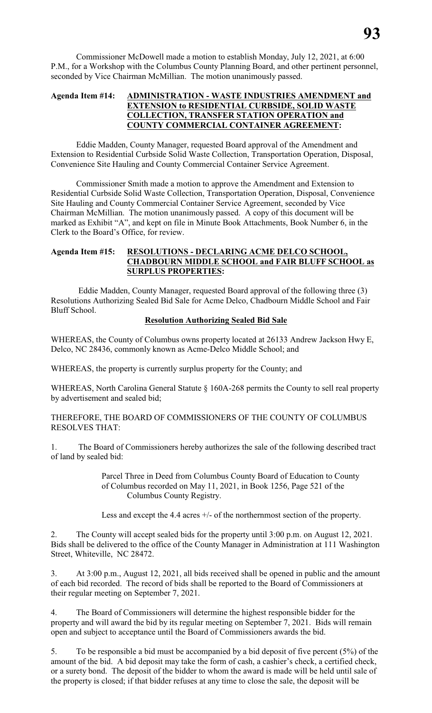Commissioner McDowell made a motion to establish Monday, July 12, 2021, at 6:00 P.M., for a Workshop with the Columbus County Planning Board, and other pertinent personnel, seconded by Vice Chairman McMillian. The motion unanimously passed.

# **Agenda Item #14: ADMINISTRATION - WASTE INDUSTRIES AMENDMENT and EXTENSION to RESIDENTIAL CURBSIDE, SOLID WASTE COLLECTION, TRANSFER STATION OPERATION and COUNTY COMMERCIAL CONTAINER AGREEMENT:**

Eddie Madden, County Manager, requested Board approval of the Amendment and Extension to Residential Curbside Solid Waste Collection, Transportation Operation, Disposal, Convenience Site Hauling and County Commercial Container Service Agreement.

Commissioner Smith made a motion to approve the Amendment and Extension to Residential Curbside Solid Waste Collection, Transportation Operation, Disposal, Convenience Site Hauling and County Commercial Container Service Agreement, seconded by Vice Chairman McMillian. The motion unanimously passed. A copy of this document will be marked as Exhibit "A", and kept on file in Minute Book Attachments, Book Number 6, in the Clerk to the Board's Office, for review.

# **Agenda Item #15: RESOLUTIONS - DECLARING ACME DELCO SCHOOL, CHADBOURN MIDDLE SCHOOL and FAIR BLUFF SCHOOL as SURPLUS PROPERTIES:**

 Eddie Madden, County Manager, requested Board approval of the following three (3) Resolutions Authorizing Sealed Bid Sale for Acme Delco, Chadbourn Middle School and Fair Bluff School.

# **Resolution Authorizing Sealed Bid Sale**

WHEREAS, the County of Columbus owns property located at 26133 Andrew Jackson Hwy E, Delco, NC 28436, commonly known as Acme-Delco Middle School; and

WHEREAS, the property is currently surplus property for the County; and

WHEREAS, North Carolina General Statute § 160A-268 permits the County to sell real property by advertisement and sealed bid;

THEREFORE, THE BOARD OF COMMISSIONERS OF THE COUNTY OF COLUMBUS RESOLVES THAT:

1. The Board of Commissioners hereby authorizes the sale of the following described tract of land by sealed bid:

> Parcel Three in Deed from Columbus County Board of Education to County of Columbus recorded on May 11, 2021, in Book 1256, Page 521 of the Columbus County Registry.

> Less and except the 4.4 acres  $+/-$  of the northernmost section of the property.

2. The County will accept sealed bids for the property until 3:00 p.m. on August 12, 2021. Bids shall be delivered to the office of the County Manager in Administration at 111 Washington Street, Whiteville, NC 28472.

3. At 3:00 p.m., August 12, 2021, all bids received shall be opened in public and the amount of each bid recorded. The record of bids shall be reported to the Board of Commissioners at their regular meeting on September 7, 2021.

4. The Board of Commissioners will determine the highest responsible bidder for the property and will award the bid by its regular meeting on September 7, 2021. Bids will remain open and subject to acceptance until the Board of Commissioners awards the bid.

5. To be responsible a bid must be accompanied by a bid deposit of five percent (5%) of the amount of the bid. A bid deposit may take the form of cash, a cashier's check, a certified check, or a surety bond. The deposit of the bidder to whom the award is made will be held until sale of the property is closed; if that bidder refuses at any time to close the sale, the deposit will be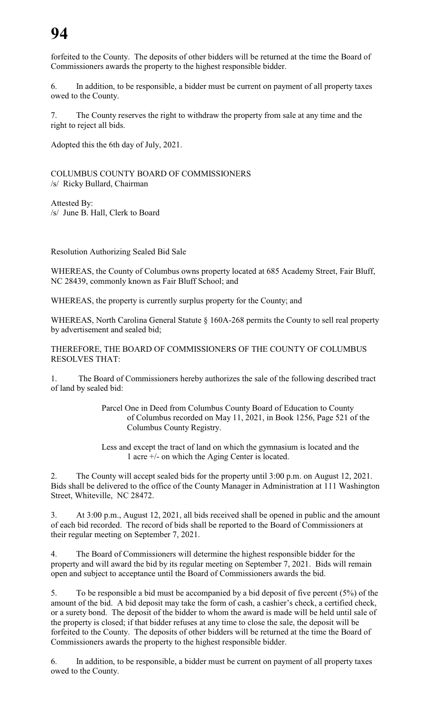# **94**

forfeited to the County. The deposits of other bidders will be returned at the time the Board of Commissioners awards the property to the highest responsible bidder.

6. In addition, to be responsible, a bidder must be current on payment of all property taxes owed to the County.

7. The County reserves the right to withdraw the property from sale at any time and the right to reject all bids.

Adopted this the 6th day of July, 2021.

COLUMBUS COUNTY BOARD OF COMMISSIONERS /s/ Ricky Bullard, Chairman

Attested By: /s/ June B. Hall, Clerk to Board

Resolution Authorizing Sealed Bid Sale

WHEREAS, the County of Columbus owns property located at 685 Academy Street, Fair Bluff, NC 28439, commonly known as Fair Bluff School; and

WHEREAS, the property is currently surplus property for the County; and

WHEREAS, North Carolina General Statute § 160A-268 permits the County to sell real property by advertisement and sealed bid;

THEREFORE, THE BOARD OF COMMISSIONERS OF THE COUNTY OF COLUMBUS RESOLVES THAT:

1. The Board of Commissioners hereby authorizes the sale of the following described tract of land by sealed bid:

> Parcel One in Deed from Columbus County Board of Education to County of Columbus recorded on May 11, 2021, in Book 1256, Page 521 of the Columbus County Registry.

Less and except the tract of land on which the gymnasium is located and the 1 acre +/- on which the Aging Center is located.

2. The County will accept sealed bids for the property until 3:00 p.m. on August 12, 2021. Bids shall be delivered to the office of the County Manager in Administration at 111 Washington Street, Whiteville, NC 28472.

3. At 3:00 p.m., August 12, 2021, all bids received shall be opened in public and the amount of each bid recorded. The record of bids shall be reported to the Board of Commissioners at their regular meeting on September 7, 2021.

4. The Board of Commissioners will determine the highest responsible bidder for the property and will award the bid by its regular meeting on September 7, 2021. Bids will remain open and subject to acceptance until the Board of Commissioners awards the bid.

5. To be responsible a bid must be accompanied by a bid deposit of five percent (5%) of the amount of the bid. A bid deposit may take the form of cash, a cashier's check, a certified check, or a surety bond. The deposit of the bidder to whom the award is made will be held until sale of the property is closed; if that bidder refuses at any time to close the sale, the deposit will be forfeited to the County. The deposits of other bidders will be returned at the time the Board of Commissioners awards the property to the highest responsible bidder.

6. In addition, to be responsible, a bidder must be current on payment of all property taxes owed to the County.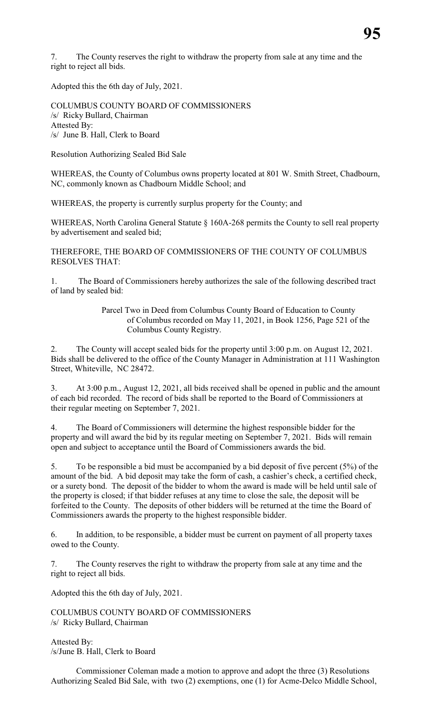7. The County reserves the right to withdraw the property from sale at any time and the right to reject all bids.

Adopted this the 6th day of July, 2021.

COLUMBUS COUNTY BOARD OF COMMISSIONERS /s/ Ricky Bullard, Chairman Attested By: /s/ June B. Hall, Clerk to Board

Resolution Authorizing Sealed Bid Sale

WHEREAS, the County of Columbus owns property located at 801 W. Smith Street, Chadbourn, NC, commonly known as Chadbourn Middle School; and

WHEREAS, the property is currently surplus property for the County; and

WHEREAS, North Carolina General Statute § 160A-268 permits the County to sell real property by advertisement and sealed bid;

THEREFORE, THE BOARD OF COMMISSIONERS OF THE COUNTY OF COLUMBUS RESOLVES THAT:

1. The Board of Commissioners hereby authorizes the sale of the following described tract of land by sealed bid:

> Parcel Two in Deed from Columbus County Board of Education to County of Columbus recorded on May 11, 2021, in Book 1256, Page 521 of the Columbus County Registry.

2. The County will accept sealed bids for the property until 3:00 p.m. on August 12, 2021. Bids shall be delivered to the office of the County Manager in Administration at 111 Washington Street, Whiteville, NC 28472.

3. At 3:00 p.m., August 12, 2021, all bids received shall be opened in public and the amount of each bid recorded. The record of bids shall be reported to the Board of Commissioners at their regular meeting on September 7, 2021.

4. The Board of Commissioners will determine the highest responsible bidder for the property and will award the bid by its regular meeting on September 7, 2021. Bids will remain open and subject to acceptance until the Board of Commissioners awards the bid.

5. To be responsible a bid must be accompanied by a bid deposit of five percent (5%) of the amount of the bid. A bid deposit may take the form of cash, a cashier's check, a certified check, or a surety bond. The deposit of the bidder to whom the award is made will be held until sale of the property is closed; if that bidder refuses at any time to close the sale, the deposit will be forfeited to the County. The deposits of other bidders will be returned at the time the Board of Commissioners awards the property to the highest responsible bidder.

6. In addition, to be responsible, a bidder must be current on payment of all property taxes owed to the County.

7. The County reserves the right to withdraw the property from sale at any time and the right to reject all bids.

Adopted this the 6th day of July, 2021.

COLUMBUS COUNTY BOARD OF COMMISSIONERS /s/ Ricky Bullard, Chairman

Attested By: /s/June B. Hall, Clerk to Board

Commissioner Coleman made a motion to approve and adopt the three (3) Resolutions Authorizing Sealed Bid Sale, with two (2) exemptions, one (1) for Acme-Delco Middle School,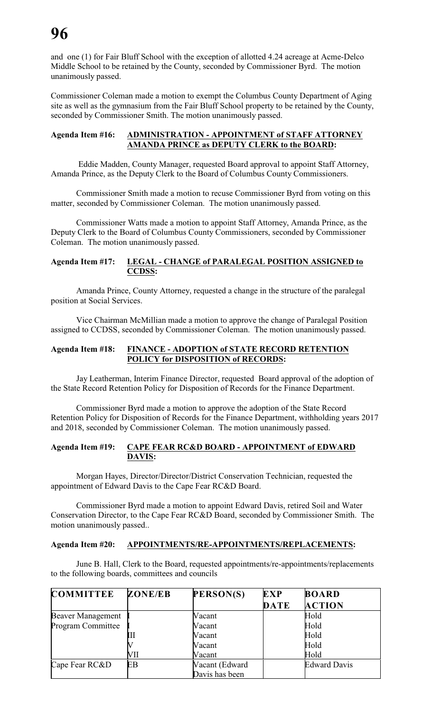and one (1) for Fair Bluff School with the exception of allotted 4.24 acreage at Acme-Delco Middle School to be retained by the County, seconded by Commissioner Byrd. The motion unanimously passed.

Commissioner Coleman made a motion to exempt the Columbus County Department of Aging site as well as the gymnasium from the Fair Bluff School property to be retained by the County, seconded by Commissioner Smith. The motion unanimously passed.

# **Agenda Item #16: ADMINISTRATION - APPOINTMENT of STAFF ATTORNEY AMANDA PRINCE as DEPUTY CLERK to the BOARD:**

 Eddie Madden, County Manager, requested Board approval to appoint Staff Attorney, Amanda Prince, as the Deputy Clerk to the Board of Columbus County Commissioners.

Commissioner Smith made a motion to recuse Commissioner Byrd from voting on this matter, seconded by Commissioner Coleman. The motion unanimously passed.

Commissioner Watts made a motion to appoint Staff Attorney, Amanda Prince, as the Deputy Clerk to the Board of Columbus County Commissioners, seconded by Commissioner Coleman. The motion unanimously passed.

# **Agenda Item #17: LEGAL - CHANGE of PARALEGAL POSITION ASSIGNED to CCDSS:**

Amanda Prince, County Attorney, requested a change in the structure of the paralegal position at Social Services.

Vice Chairman McMillian made a motion to approve the change of Paralegal Position assigned to CCDSS, seconded by Commissioner Coleman. The motion unanimously passed.

# **Agenda Item #18: FINANCE - ADOPTION of STATE RECORD RETENTION POLICY for DISPOSITION of RECORDS:**

Jay Leatherman, Interim Finance Director, requested Board approval of the adoption of the State Record Retention Policy for Disposition of Records for the Finance Department.

Commissioner Byrd made a motion to approve the adoption of the State Record Retention Policy for Disposition of Records for the Finance Department, withholding years 2017 and 2018, seconded by Commissioner Coleman. The motion unanimously passed.

# **Agenda Item #19: CAPE FEAR RC&D BOARD - APPOINTMENT of EDWARD DAVIS:**

Morgan Hayes, Director/Director/District Conservation Technician, requested the appointment of Edward Davis to the Cape Fear RC&D Board.

Commissioner Byrd made a motion to appoint Edward Davis, retired Soil and Water Conservation Director, to the Cape Fear RC&D Board, seconded by Commissioner Smith. The motion unanimously passed..

# **Agenda Item #20: APPOINTMENTS/RE-APPOINTMENTS/REPLACEMENTS:**

June B. Hall, Clerk to the Board, requested appointments/re-appointments/replacements to the following boards, committees and councils

| <b>COMMITTEE</b>         | <b>ZONE/EB</b> | PERSON(S)      | <b>EXP</b> | <b>BOARD</b>        |
|--------------------------|----------------|----------------|------------|---------------------|
|                          |                |                | DATE       | <b>ACTION</b>       |
| <b>Beaver Management</b> |                | Vacant         |            | Hold                |
| <b>Program Committee</b> |                | Vacant         |            | Hold                |
|                          | Ш              | Vacant         |            | Hold                |
|                          |                | Vacant         |            | Hold                |
|                          | VП             | Vacant         |            | Hold                |
| Cape Fear RC&D           | EB             | Vacant (Edward |            | <b>Edward Davis</b> |
|                          |                | Davis has been |            |                     |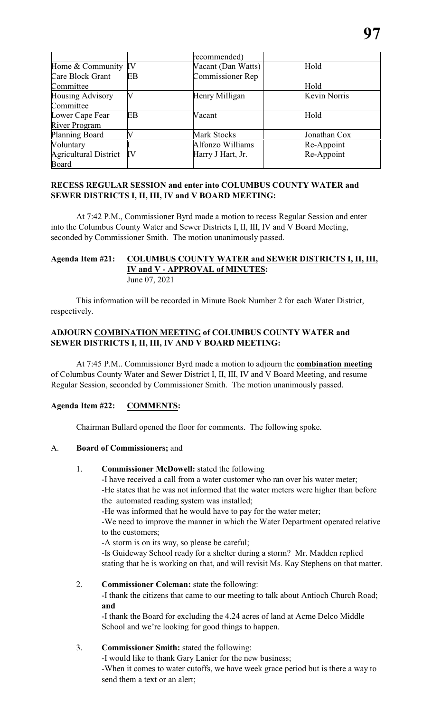|                              |    | recommended)       |                     |
|------------------------------|----|--------------------|---------------------|
| Home & Community             | IV | Vacant (Dan Watts) | Hold                |
| Care Block Grant             | EB | Commissioner Rep   |                     |
| Committee                    |    |                    | Hold                |
| <b>Housing Advisory</b>      |    | Henry Milligan     | <b>Kevin Norris</b> |
| Committee                    |    |                    |                     |
| Lower Cape Fear              | EB | Vacant             | Hold                |
| <b>River Program</b>         |    |                    |                     |
| <b>Planning Board</b>        |    | <b>Mark Stocks</b> | Jonathan Cox        |
| Voluntary                    |    | Alfonzo Williams   | Re-Appoint          |
| <b>Agricultural District</b> | IV | Harry J Hart, Jr.  | Re-Appoint          |
| <b>Board</b>                 |    |                    |                     |

# **RECESS REGULAR SESSION and enter into COLUMBUS COUNTY WATER and SEWER DISTRICTS I, II, III, IV and V BOARD MEETING:**

At 7:42 P.M., Commissioner Byrd made a motion to recess Regular Session and enter into the Columbus County Water and Sewer Districts I, II, III, IV and V Board Meeting, seconded by Commissioner Smith. The motion unanimously passed.

# **Agenda Item #21: COLUMBUS COUNTY WATER and SEWER DISTRICTS I, II, III, IV and V - APPROVAL of MINUTES:** June 07, 2021

This information will be recorded in Minute Book Number 2 for each Water District, respectively.

# **ADJOURN COMBINATION MEETING of COLUMBUS COUNTY WATER and SEWER DISTRICTS I, II, III, IV AND V BOARD MEETING:**

At 7:45 P.M.. Commissioner Byrd made a motion to adjourn the **combination meeting** of Columbus County Water and Sewer District I, II, III, IV and V Board Meeting, and resume Regular Session, seconded by Commissioner Smith. The motion unanimously passed.

# **Agenda Item #22: COMMENTS:**

Chairman Bullard opened the floor for comments. The following spoke.

# A. **Board of Commissioners;** and

1. **Commissioner McDowell:** stated the following

-I have received a call from a water customer who ran over his water meter; -He states that he was not informed that the water meters were higher than before the automated reading system was installed;

-He was informed that he would have to pay for the water meter;

-We need to improve the manner in which the Water Department operated relative to the customers;

-A storm is on its way, so please be careful;

-Is Guideway School ready for a shelter during a storm? Mr. Madden replied stating that he is working on that, and will revisit Ms. Kay Stephens on that matter.

# 2. **Commissioner Coleman:** state the following:

-I thank the citizens that came to our meeting to talk about Antioch Church Road; **and**

-I thank the Board for excluding the 4.24 acres of land at Acme Delco Middle School and we're looking for good things to happen.

# 3. **Commissioner Smith:** stated the following:

-I would like to thank Gary Lanier for the new business; -When it comes to water cutoffs, we have week grace period but is there a way to send them a text or an alert;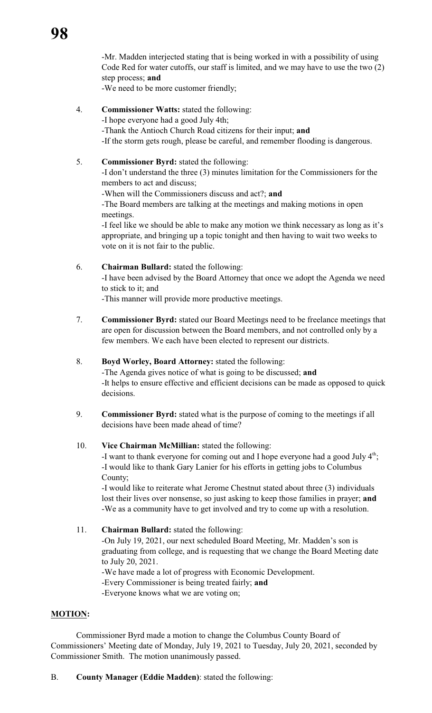-Mr. Madden interjected stating that is being worked in with a possibility of using Code Red for water cutoffs, our staff is limited, and we may have to use the two (2) step process; **and**

-We need to be more customer friendly;

4. **Commissioner Watts:** stated the following:

-I hope everyone had a good July 4th;

-Thank the Antioch Church Road citizens for their input; **and** -If the storm gets rough, please be careful, and remember flooding is dangerous.

5. **Commissioner Byrd:** stated the following:

-I don't understand the three (3) minutes limitation for the Commissioners for the members to act and discuss;

-When will the Commissioners discuss and act?; **and**

-The Board members are talking at the meetings and making motions in open meetings.

-I feel like we should be able to make any motion we think necessary as long as it's appropriate, and bringing up a topic tonight and then having to wait two weeks to vote on it is not fair to the public.

6. **Chairman Bullard:** stated the following:

-I have been advised by the Board Attorney that once we adopt the Agenda we need to stick to it; and

-This manner will provide more productive meetings.

- 7. **Commissioner Byrd:** stated our Board Meetings need to be freelance meetings that are open for discussion between the Board members, and not controlled only by a few members. We each have been elected to represent our districts.
- 8. **Boyd Worley, Board Attorney:** stated the following:

-The Agenda gives notice of what is going to be discussed; **and** -It helps to ensure effective and efficient decisions can be made as opposed to quick decisions.

9. **Commissioner Byrd:** stated what is the purpose of coming to the meetings if all decisions have been made ahead of time?

# 10. **Vice Chairman McMillian:** stated the following:

-I want to thank everyone for coming out and I hope everyone had a good July  $4<sup>th</sup>$ ; -I would like to thank Gary Lanier for his efforts in getting jobs to Columbus County;

-I would like to reiterate what Jerome Chestnut stated about three (3) individuals lost their lives over nonsense, so just asking to keep those families in prayer; **and** -We as a community have to get involved and try to come up with a resolution.

11. **Chairman Bullard:** stated the following: -On July 19, 2021, our next scheduled Board Meeting, Mr. Madden's son is graduating from college, and is requesting that we change the Board Meeting date to July 20, 2021. -We have made a lot of progress with Economic Development.

-Every Commissioner is being treated fairly; **and**

-Everyone knows what we are voting on;

# **MOTION:**

Commissioner Byrd made a motion to change the Columbus County Board of Commissioners' Meeting date of Monday, July 19, 2021 to Tuesday, July 20, 2021, seconded by Commissioner Smith. The motion unanimously passed.

B. **County Manager (Eddie Madden)**: stated the following: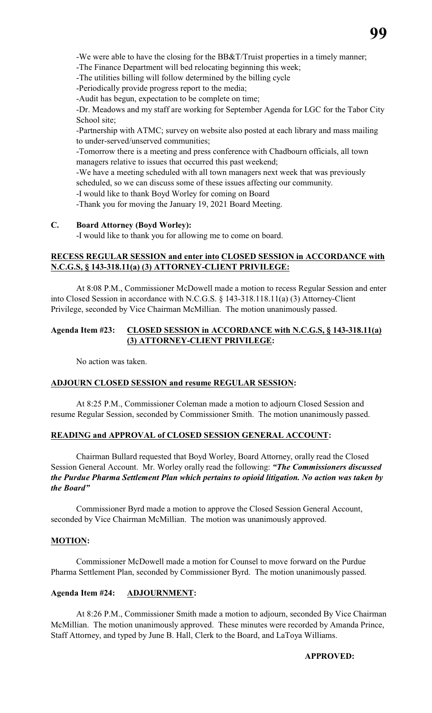-We were able to have the closing for the BB&T/Truist properties in a timely manner;

-The Finance Department will bed relocating beginning this week;

-The utilities billing will follow determined by the billing cycle

-Periodically provide progress report to the media;

-Audit has begun, expectation to be complete on time;

-Dr. Meadows and my staff are working for September Agenda for LGC for the Tabor City School site;

-Partnership with ATMC; survey on website also posted at each library and mass mailing to under-served/unserved communities;

-Tomorrow there is a meeting and press conference with Chadbourn officials, all town managers relative to issues that occurred this past weekend;

-We have a meeting scheduled with all town managers next week that was previously scheduled, so we can discuss some of these issues affecting our community.

-I would like to thank Boyd Worley for coming on Board

-Thank you for moving the January 19, 2021 Board Meeting.

# **C. Board Attorney (Boyd Worley):**

-I would like to thank you for allowing me to come on board.

# **RECESS REGULAR SESSION and enter into CLOSED SESSION in ACCORDANCE with N.C.G.S, § 143-318.11(a) (3) ATTORNEY-CLIENT PRIVILEGE:**

At 8:08 P.M., Commissioner McDowell made a motion to recess Regular Session and enter into Closed Session in accordance with N.C.G.S. § 143-318.118.11(a) (3) Attorney-Client Privilege, seconded by Vice Chairman McMillian. The motion unanimously passed.

# **Agenda Item #23: CLOSED SESSION in ACCORDANCE with N.C.G.S, § 143-318.11(a) (3) ATTORNEY-CLIENT PRIVILEGE:**

No action was taken.

# **ADJOURN CLOSED SESSION and resume REGULAR SESSION:**

At 8:25 P.M., Commissioner Coleman made a motion to adjourn Closed Session and resume Regular Session, seconded by Commissioner Smith. The motion unanimously passed.

# **READING and APPROVAL of CLOSED SESSION GENERAL ACCOUNT:**

Chairman Bullard requested that Boyd Worley, Board Attorney, orally read the Closed Session General Account. Mr. Worley orally read the following: *"The Commissioners discussed the Purdue Pharma Settlement Plan which pertains to opioid litigation. No action was taken by the Board"*

Commissioner Byrd made a motion to approve the Closed Session General Account, seconded by Vice Chairman McMillian. The motion was unanimously approved.

# **MOTION:**

Commissioner McDowell made a motion for Counsel to move forward on the Purdue Pharma Settlement Plan, seconded by Commissioner Byrd. The motion unanimously passed.

# **Agenda Item #24: ADJOURNMENT:**

At 8:26 P.M., Commissioner Smith made a motion to adjourn, seconded By Vice Chairman McMillian. The motion unanimously approved. These minutes were recorded by Amanda Prince, Staff Attorney, and typed by June B. Hall, Clerk to the Board, and LaToya Williams.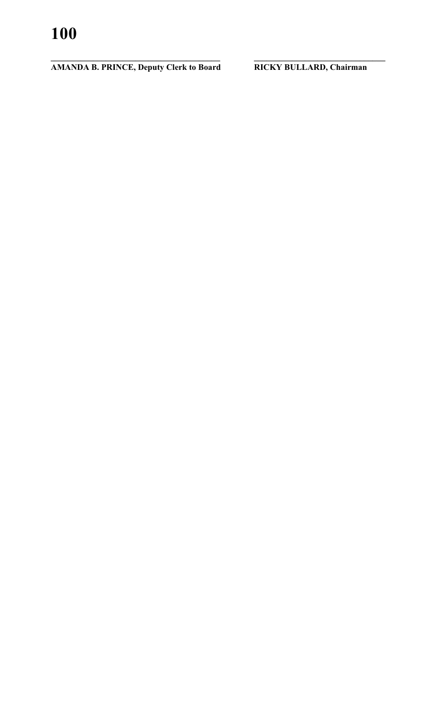**AMANDA B. PRINCE, Deputy Clerk to Board RICKY BULLARD, Chairman** 

**\_\_\_\_\_\_\_\_\_\_\_\_\_\_\_\_\_\_\_\_\_\_\_\_\_\_\_\_\_\_\_\_\_\_\_\_\_\_\_\_ \_\_\_\_\_\_\_\_\_\_\_\_\_\_\_\_\_\_\_\_\_\_\_\_\_\_\_\_\_\_\_**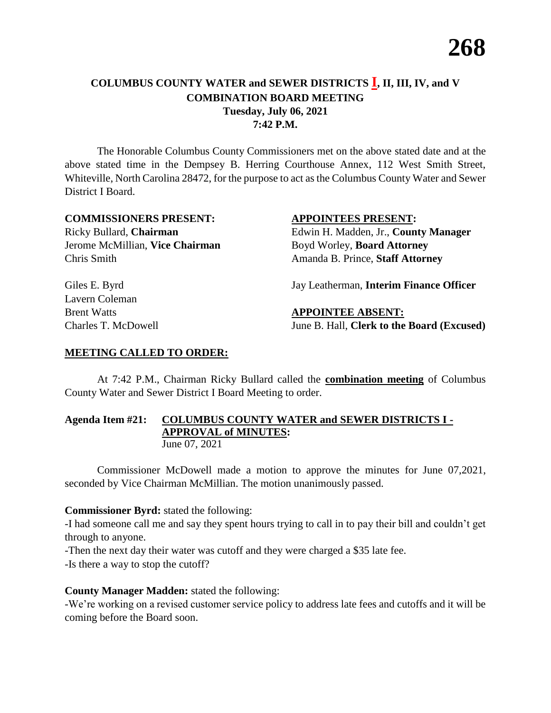# **COLUMBUS COUNTY WATER and SEWER DISTRICTS I, II, III, IV, and V COMBINATION BOARD MEETING Tuesday, July 06, 2021 7:42 P.M.**

The Honorable Columbus County Commissioners met on the above stated date and at the above stated time in the Dempsey B. Herring Courthouse Annex, 112 West Smith Street, Whiteville, North Carolina 28472, for the purpose to act as the Columbus County Water and Sewer District I Board.

# **COMMISSIONERS PRESENT: APPOINTEES PRESENT:**

Ricky Bullard, **Chairman** Edwin H. Madden, Jr., **County Manager** Jerome McMillian, **Vice Chairman** Boyd Worley, **Board Attorney** Chris Smith Amanda B. Prince, **Staff Attorney**

Giles E. Byrd Jay Leatherman, **Interim Finance Officer** 

Lavern Coleman

**Brent Watts APPOINTEE ABSENT:** Charles T. McDowell June B. Hall, **Clerk to the Board (Excused)**

# **MEETING CALLED TO ORDER:**

At 7:42 P.M., Chairman Ricky Bullard called the **combination meeting** of Columbus County Water and Sewer District I Board Meeting to order.

# **Agenda Item #21: COLUMBUS COUNTY WATER and SEWER DISTRICTS I - APPROVAL of MINUTES:** June 07, 2021

Commissioner McDowell made a motion to approve the minutes for June 07,2021, seconded by Vice Chairman McMillian. The motion unanimously passed.

# **Commissioner Byrd:** stated the following:

-I had someone call me and say they spent hours trying to call in to pay their bill and couldn't get through to anyone.

-Then the next day their water was cutoff and they were charged a \$35 late fee.

-Is there a way to stop the cutoff?

# **County Manager Madden:** stated the following:

-We're working on a revised customer service policy to address late fees and cutoffs and it will be coming before the Board soon.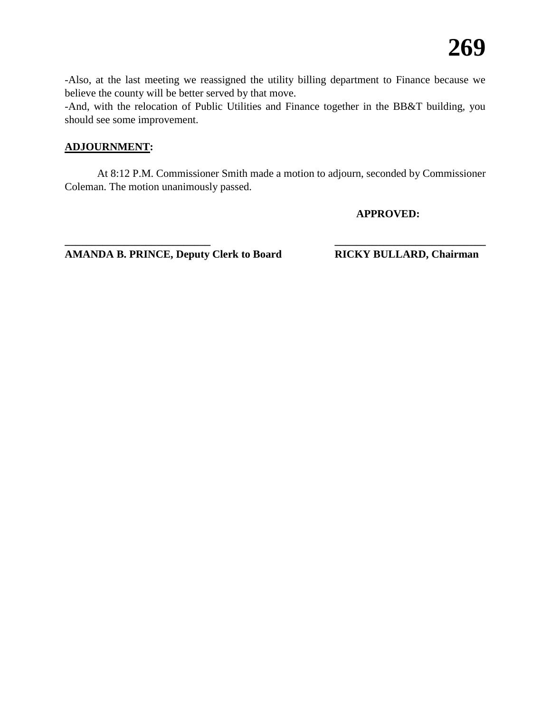-Also, at the last meeting we reassigned the utility billing department to Finance because we believe the county will be better served by that move.

-And, with the relocation of Public Utilities and Finance together in the BB&T building, you should see some improvement.

# **ADJOURNMENT:**

At 8:12 P.M. Commissioner Smith made a motion to adjourn, seconded by Commissioner Coleman. The motion unanimously passed.

**\_\_\_\_\_\_\_\_\_\_\_\_\_\_\_\_\_\_\_\_\_\_\_\_\_\_\_ \_\_\_\_\_\_\_\_\_\_\_\_\_\_\_\_\_\_\_\_\_\_\_\_\_\_\_\_**

**APPROVED:**

**AMANDA B. PRINCE, Deputy Clerk to Board RICKY BULLARD, Chairman**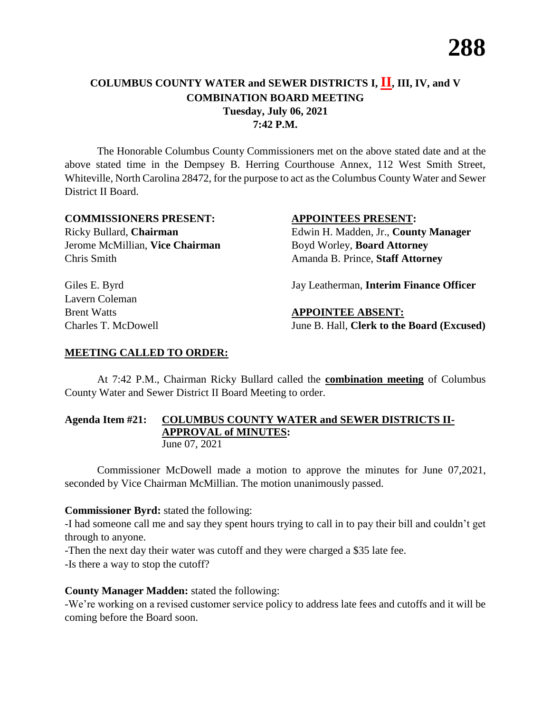# **COLUMBUS COUNTY WATER and SEWER DISTRICTS I, II, III, IV, and V COMBINATION BOARD MEETING Tuesday, July 06, 2021 7:42 P.M.**

The Honorable Columbus County Commissioners met on the above stated date and at the above stated time in the Dempsey B. Herring Courthouse Annex, 112 West Smith Street, Whiteville, North Carolina 28472, for the purpose to act as the Columbus County Water and Sewer District II Board.

# **COMMISSIONERS PRESENT: APPOINTEES PRESENT:**

Ricky Bullard, **Chairman** Edwin H. Madden, Jr., **County Manager** Jerome McMillian, **Vice Chairman** Boyd Worley, **Board Attorney** Chris Smith Amanda B. Prince, **Staff Attorney**

Giles E. Byrd Jay Leatherman, **Interim Finance Officer** 

Lavern Coleman

**Brent Watts APPOINTEE ABSENT:** Charles T. McDowell June B. Hall, **Clerk to the Board (Excused)**

# **MEETING CALLED TO ORDER:**

At 7:42 P.M., Chairman Ricky Bullard called the **combination meeting** of Columbus County Water and Sewer District II Board Meeting to order.

# **Agenda Item #21: COLUMBUS COUNTY WATER and SEWER DISTRICTS II-APPROVAL of MINUTES:** June 07, 2021

Commissioner McDowell made a motion to approve the minutes for June 07,2021, seconded by Vice Chairman McMillian. The motion unanimously passed.

# **Commissioner Byrd:** stated the following:

-I had someone call me and say they spent hours trying to call in to pay their bill and couldn't get through to anyone.

-Then the next day their water was cutoff and they were charged a \$35 late fee.

-Is there a way to stop the cutoff?

# **County Manager Madden:** stated the following:

-We're working on a revised customer service policy to address late fees and cutoffs and it will be coming before the Board soon.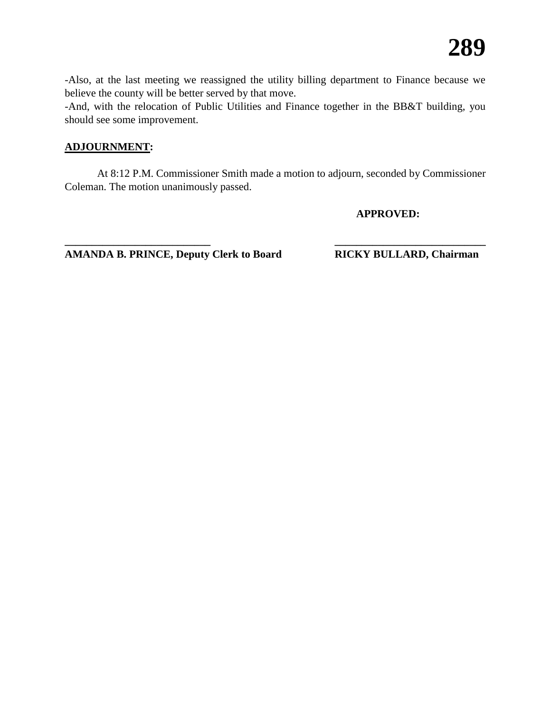-Also, at the last meeting we reassigned the utility billing department to Finance because we believe the county will be better served by that move.

-And, with the relocation of Public Utilities and Finance together in the BB&T building, you should see some improvement.

# **ADJOURNMENT:**

At 8:12 P.M. Commissioner Smith made a motion to adjourn, seconded by Commissioner Coleman. The motion unanimously passed.

**\_\_\_\_\_\_\_\_\_\_\_\_\_\_\_\_\_\_\_\_\_\_\_\_\_\_\_ \_\_\_\_\_\_\_\_\_\_\_\_\_\_\_\_\_\_\_\_\_\_\_\_\_\_\_\_**

**APPROVED:**

**AMANDA B. PRINCE, Deputy Clerk to Board RICKY BULLARD, Chairman**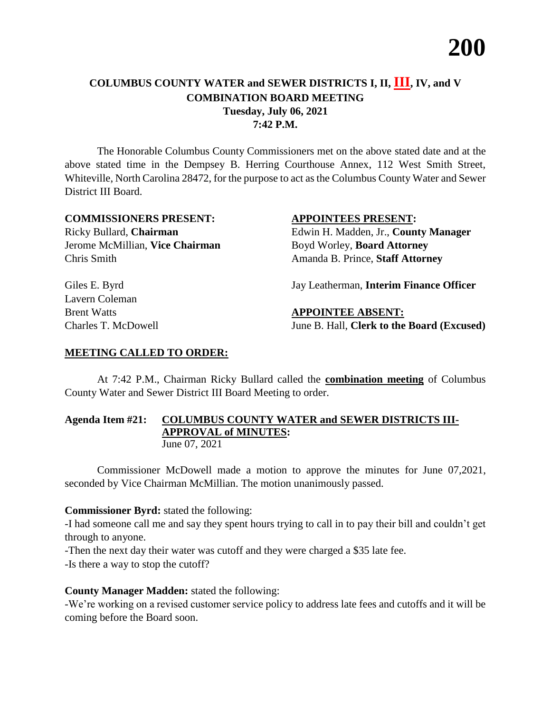# **COLUMBUS COUNTY WATER and SEWER DISTRICTS I, II, III, IV, and V COMBINATION BOARD MEETING Tuesday, July 06, 2021 7:42 P.M.**

The Honorable Columbus County Commissioners met on the above stated date and at the above stated time in the Dempsey B. Herring Courthouse Annex, 112 West Smith Street, Whiteville, North Carolina 28472, for the purpose to act as the Columbus County Water and Sewer District III Board.

# **COMMISSIONERS PRESENT: APPOINTEES PRESENT:**

Jerome McMillian, **Vice Chairman** Boyd Worley, **Board Attorney** Chris Smith Amanda B. Prince, **Staff Attorney**

Lavern Coleman

Ricky Bullard, **Chairman** Edwin H. Madden, Jr., **County Manager**

Giles E. Byrd Jay Leatherman, **Interim Finance Officer** 

# **Brent Watts APPOINTEE ABSENT:**

Charles T. McDowell June B. Hall, **Clerk to the Board (Excused)**

# **MEETING CALLED TO ORDER:**

At 7:42 P.M., Chairman Ricky Bullard called the **combination meeting** of Columbus County Water and Sewer District III Board Meeting to order.

# **Agenda Item #21: COLUMBUS COUNTY WATER and SEWER DISTRICTS III-APPROVAL of MINUTES:** June 07, 2021

Commissioner McDowell made a motion to approve the minutes for June 07,2021, seconded by Vice Chairman McMillian. The motion unanimously passed.

# **Commissioner Byrd:** stated the following:

-I had someone call me and say they spent hours trying to call in to pay their bill and couldn't get through to anyone.

-Then the next day their water was cutoff and they were charged a \$35 late fee.

-Is there a way to stop the cutoff?

# **County Manager Madden:** stated the following:

-We're working on a revised customer service policy to address late fees and cutoffs and it will be coming before the Board soon.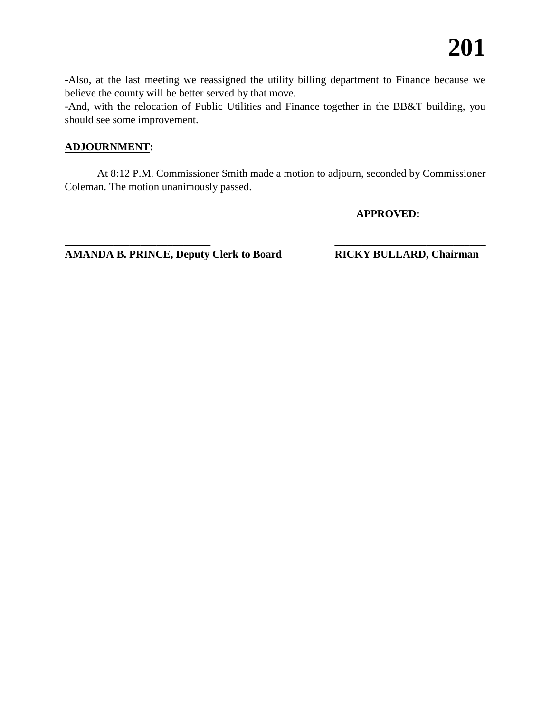-Also, at the last meeting we reassigned the utility billing department to Finance because we believe the county will be better served by that move.

-And, with the relocation of Public Utilities and Finance together in the BB&T building, you should see some improvement.

# **ADJOURNMENT:**

At 8:12 P.M. Commissioner Smith made a motion to adjourn, seconded by Commissioner Coleman. The motion unanimously passed.

**\_\_\_\_\_\_\_\_\_\_\_\_\_\_\_\_\_\_\_\_\_\_\_\_\_\_\_ \_\_\_\_\_\_\_\_\_\_\_\_\_\_\_\_\_\_\_\_\_\_\_\_\_\_\_\_**

**APPROVED:**

**AMANDA B. PRINCE, Deputy Clerk to Board RICKY BULLARD, Chairman**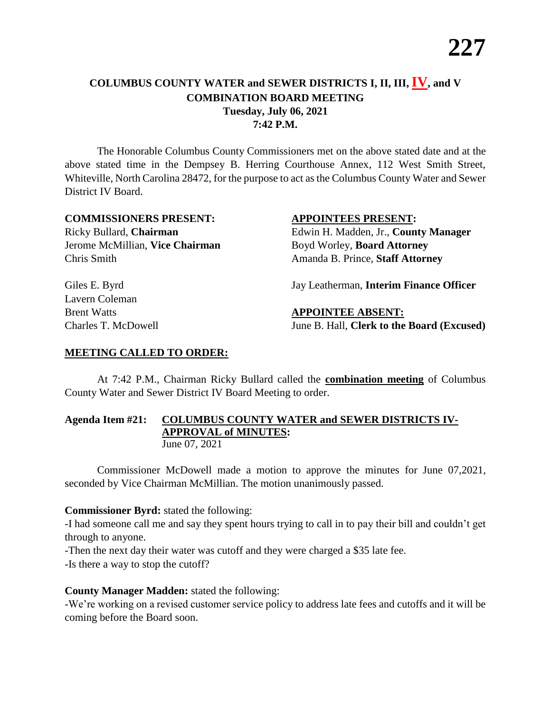# **COLUMBUS COUNTY WATER and SEWER DISTRICTS I, II, III, IV, and V COMBINATION BOARD MEETING Tuesday, July 06, 2021 7:42 P.M.**

The Honorable Columbus County Commissioners met on the above stated date and at the above stated time in the Dempsey B. Herring Courthouse Annex, 112 West Smith Street, Whiteville, North Carolina 28472, for the purpose to act as the Columbus County Water and Sewer District IV Board.

# **COMMISSIONERS PRESENT: APPOINTEES PRESENT:**

Ricky Bullard, **Chairman** Edwin H. Madden, Jr., **County Manager** Jerome McMillian, **Vice Chairman** Boyd Worley, **Board Attorney** Chris Smith Amanda B. Prince, **Staff Attorney**

Giles E. Byrd Jay Leatherman, **Interim Finance Officer** 

# Lavern Coleman

**Brent Watts APPOINTEE ABSENT:** Charles T. McDowell June B. Hall, **Clerk to the Board (Excused)**

# **MEETING CALLED TO ORDER:**

At 7:42 P.M., Chairman Ricky Bullard called the **combination meeting** of Columbus County Water and Sewer District IV Board Meeting to order.

# **Agenda Item #21: COLUMBUS COUNTY WATER and SEWER DISTRICTS IV-APPROVAL of MINUTES:** June 07, 2021

Commissioner McDowell made a motion to approve the minutes for June 07,2021, seconded by Vice Chairman McMillian. The motion unanimously passed.

# **Commissioner Byrd:** stated the following:

-I had someone call me and say they spent hours trying to call in to pay their bill and couldn't get through to anyone.

-Then the next day their water was cutoff and they were charged a \$35 late fee.

-Is there a way to stop the cutoff?

# **County Manager Madden:** stated the following:

-We're working on a revised customer service policy to address late fees and cutoffs and it will be coming before the Board soon.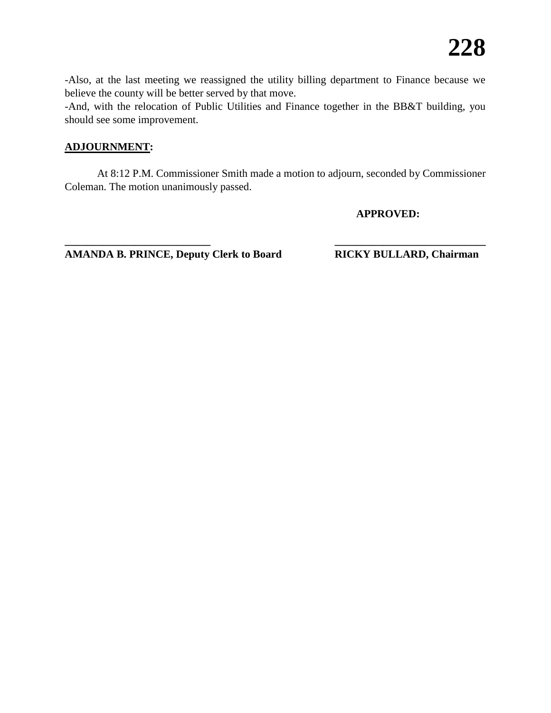-Also, at the last meeting we reassigned the utility billing department to Finance because we believe the county will be better served by that move.

-And, with the relocation of Public Utilities and Finance together in the BB&T building, you should see some improvement.

# **ADJOURNMENT:**

At 8:12 P.M. Commissioner Smith made a motion to adjourn, seconded by Commissioner Coleman. The motion unanimously passed.

**\_\_\_\_\_\_\_\_\_\_\_\_\_\_\_\_\_\_\_\_\_\_\_\_\_\_\_ \_\_\_\_\_\_\_\_\_\_\_\_\_\_\_\_\_\_\_\_\_\_\_\_\_\_\_\_**

**APPROVED:**

**AMANDA B. PRINCE, Deputy Clerk to Board RICKY BULLARD, Chairman**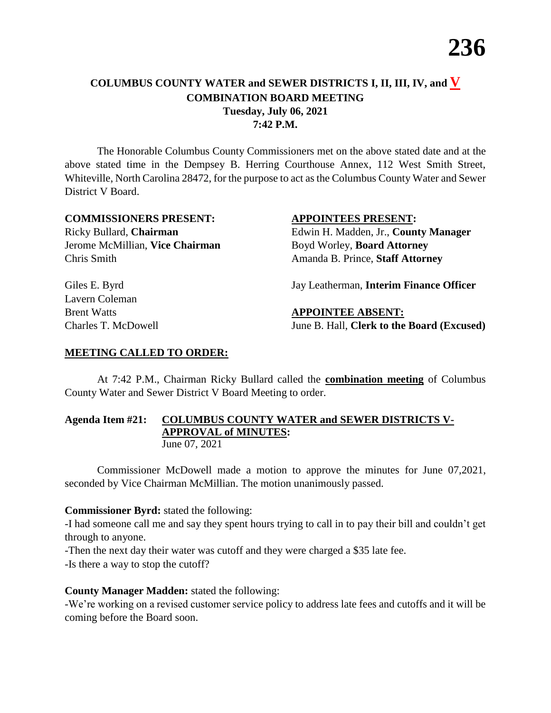# **COLUMBUS COUNTY WATER and SEWER DISTRICTS I, II, III, IV, and V COMBINATION BOARD MEETING Tuesday, July 06, 2021 7:42 P.M.**

The Honorable Columbus County Commissioners met on the above stated date and at the above stated time in the Dempsey B. Herring Courthouse Annex, 112 West Smith Street, Whiteville, North Carolina 28472, for the purpose to act as the Columbus County Water and Sewer District V Board.

# **COMMISSIONERS PRESENT: APPOINTEES PRESENT:**

Ricky Bullard, **Chairman** Edwin H. Madden, Jr., **County Manager** Jerome McMillian, **Vice Chairman** Boyd Worley, **Board Attorney** Chris Smith Amanda B. Prince, **Staff Attorney**

Giles E. Byrd Jay Leatherman, **Interim Finance Officer** 

Lavern Coleman

**Brent Watts APPOINTEE ABSENT:** Charles T. McDowell June B. Hall, **Clerk to the Board (Excused)**

# **MEETING CALLED TO ORDER:**

At 7:42 P.M., Chairman Ricky Bullard called the **combination meeting** of Columbus County Water and Sewer District V Board Meeting to order.

# **Agenda Item #21: COLUMBUS COUNTY WATER and SEWER DISTRICTS V-APPROVAL of MINUTES:** June 07, 2021

Commissioner McDowell made a motion to approve the minutes for June 07,2021, seconded by Vice Chairman McMillian. The motion unanimously passed.

# **Commissioner Byrd:** stated the following:

-I had someone call me and say they spent hours trying to call in to pay their bill and couldn't get through to anyone.

-Then the next day their water was cutoff and they were charged a \$35 late fee.

-Is there a way to stop the cutoff?

# **County Manager Madden:** stated the following:

-We're working on a revised customer service policy to address late fees and cutoffs and it will be coming before the Board soon.